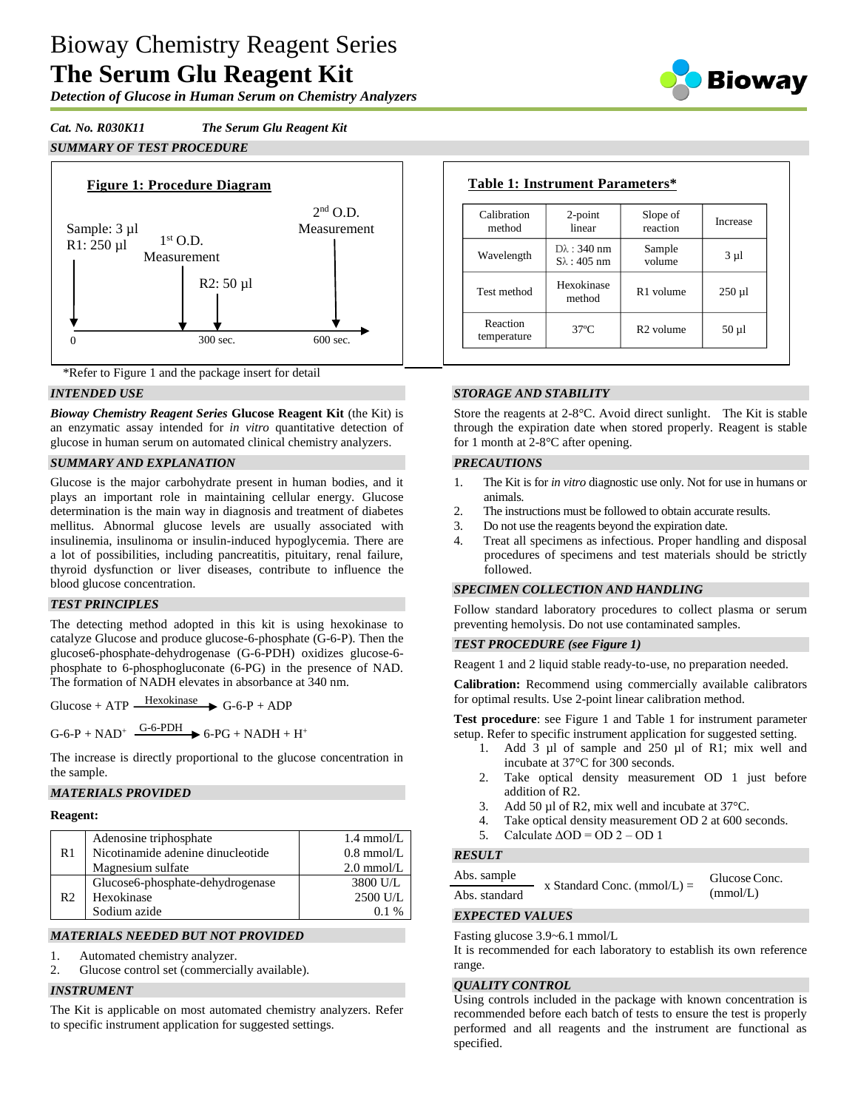# Bioway Chemistry Reagent Series **The Serum Glu Reagent Kit**

*Detection of Glucose in Human Serum on Chemistry Analyzers*

*Cat. No. R030K11 The Serum Glu Reagent Kit SUMMARY OF TEST PROCEDURE*





# *INTENDED USE*

*Bioway Chemistry Reagent Series* **Glucose Reagent Kit** (the Kit) is an enzymatic assay intended for *in vitro* quantitative detection of glucose in human serum on automated clinical chemistry analyzers.

# *SUMMARY AND EXPLANATION*

Glucose is the major carbohydrate present in human bodies, and it plays an important role in maintaining cellular energy. Glucose determination is the main way in diagnosis and treatment of diabetes mellitus. Abnormal glucose levels are usually associated with insulinemia, insulinoma or insulin-induced hypoglycemia. There are a lot of possibilities, including pancreatitis, pituitary, renal failure, thyroid dysfunction or liver diseases, contribute to influence the blood glucose concentration.

#### *TEST PRINCIPLES*

The detecting method adopted in this kit is using hexokinase to catalyze Glucose and produce glucose-6-phosphate (G-6-P). Then the glucose6-phosphate-dehydrogenase (G-6-PDH) oxidizes glucose-6 phosphate to 6-phosphogluconate (6-PG) in the presence of NAD. The formation of NADH elevates in absorbance at 340 nm.

Glucose + ATP  $\frac{\text{Hexokinase}}{\text{G-6-P + ADP}}$ 

 $G$ -6-P + NAD<sup>+</sup>  $\xrightarrow{G$ -6-PDH  $\rightarrow$  6-PG + NADH + H<sup>+</sup>

The increase is directly proportional to the glucose concentration in the sample.

# *MATERIALS PROVIDED*

#### **Reagent:**

| R1             | Adenosine triphosphate            | $1.4 \text{ mmol/L}$ |
|----------------|-----------------------------------|----------------------|
|                | Nicotinamide adenine dinucleotide | $0.8$ mmol/L         |
|                | Magnesium sulfate                 | $2.0$ mmol/L         |
| R <sub>2</sub> | Glucose6-phosphate-dehydrogenase  | 3800 U/L             |
|                | Hexokinase                        | 2500 U/L             |
|                | Sodium azide                      |                      |

# *MATERIALS NEEDED BUT NOT PROVIDED*

- 1. Automated chemistry analyzer.
- 2. Glucose control set (commercially available).

# *INSTRUMENT*

The Kit is applicable on most automated chemistry analyzers. Refer to specific instrument application for suggested settings.

| Calibration<br>method   | $2$ -point<br>linear                          | Slope of<br>reaction  | Increase    |
|-------------------------|-----------------------------------------------|-----------------------|-------------|
| Wavelength              | $D\lambda$ : 340 nm<br>$S_{\lambda}$ : 405 nm | Sample<br>volume      | $3 \mu l$   |
| Test method             | Hexokinase<br>method                          | R <sub>1</sub> volume | $250 \mu l$ |
| Reaction<br>temperature | $37^\circ$ C                                  | R <sub>2</sub> volume | $50 \mu l$  |

# *STORAGE AND STABILITY*

Store the reagents at 2-8°C. Avoid direct sunlight. The Kit is stable through the expiration date when stored properly. Reagent is stable for 1 month at 2-8°C after opening.

# *PRECAUTIONS*

- 1. The Kit is for *in vitro* diagnostic use only. Not for use in humans or animals.
- 2. The instructions must be followed to obtain accurate results.
- 3. Do not use the reagents beyond the expiration date.
- 4. Treat all specimens as infectious. Proper handling and disposal procedures of specimens and test materials should be strictly followed.

#### *SPECIMEN COLLECTION AND HANDLING*

Follow standard laboratory procedures to collect plasma or serum preventing hemolysis. Do not use contaminated samples.

#### *TEST PROCEDURE (see Figure 1)*

Reagent 1 and 2 liquid stable ready-to-use, no preparation needed.

**Calibration:** Recommend using commercially available calibrators for optimal results. Use 2-point linear calibration method.

**Test procedure**: see Figure 1 and Table 1 for instrument parameter setup. Refer to specific instrument application for suggested setting.

- 1. Add 3 µl of sample and 250 µl of R1; mix well and incubate at 37°C for 300 seconds.
- 2. Take optical density measurement OD 1 just before addition of R2.
- 3. Add 50 µl of R2, mix well and incubate at 37 °C.
- 4. Take optical density measurement OD 2 at 600 seconds.
- 5. Calculate  $\triangle$ OD = OD 2 OD 1

# *RESULT*

Abs. sample Abs. standard x Standard Conc. (mmol/L) = Glucose Conc. (mmol/L)

# *EXPECTED VALUES*

Fasting glucose 3.9~6.1 mmol/L

It is recommended for each laboratory to establish its own reference range.

#### *QUALITY CONTROL*

Using controls included in the package with known concentration is recommended before each batch of tests to ensure the test is properly performed and all reagents and the instrument are functional as specified.